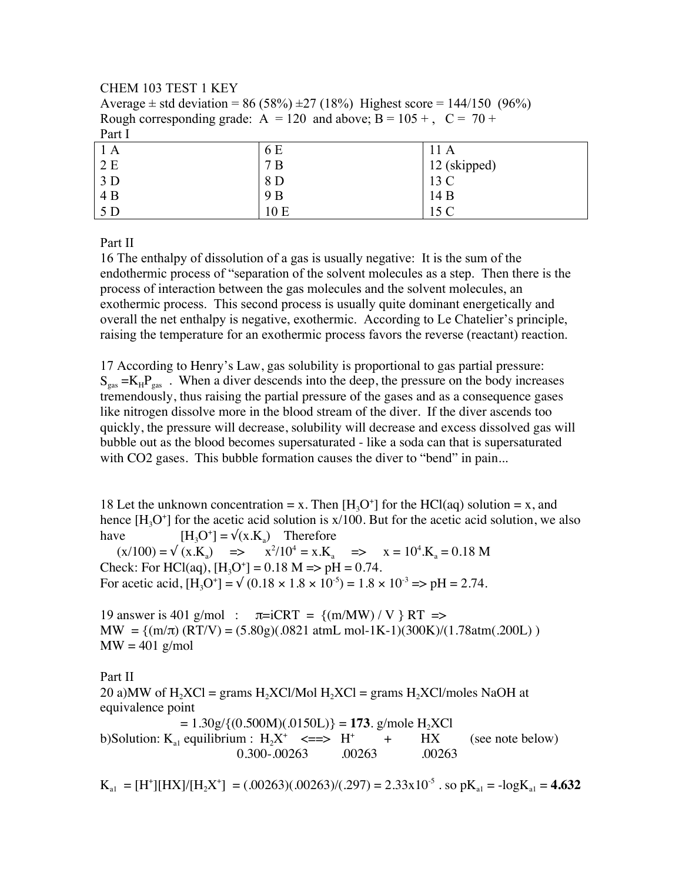## CHEM 103 TEST 1 KEY Average  $\pm$  std deviation = 86 (58%)  $\pm$ 27 (18%) Highest score = 144/150 (96%) Rough corresponding grade:  $A = 120$  and above;  $B = 105 +$ ,  $C = 70 +$ Part I

| A   | 6 E  | 11<br>A      |
|-----|------|--------------|
| 2E  | 7B   | 12 (skipped) |
| 3D  | 8 D  | 13 C         |
| 4 B | 9 B  | 14 B         |
| 5 D | 10 E | 15 C         |

Part II

16 The enthalpy of dissolution of a gas is usually negative: It is the sum of the endothermic process of "separation of the solvent molecules as a step. Then there is the process of interaction between the gas molecules and the solvent molecules, an exothermic process. This second process is usually quite dominant energetically and overall the net enthalpy is negative, exothermic. According to Le Chatelier's principle, raising the temperature for an exothermic process favors the reverse (reactant) reaction.

17 According to Henry's Law, gas solubility is proportional to gas partial pressure:  $S_{\text{gas}} = K_{\text{H}}P_{\text{gas}}$ . When a diver descends into the deep, the pressure on the body increases tremendously, thus raising the partial pressure of the gases and as a consequence gases like nitrogen dissolve more in the blood stream of the diver. If the diver ascends too quickly, the pressure will decrease, solubility will decrease and excess dissolved gas will bubble out as the blood becomes supersaturated - like a soda can that is supersaturated with CO2 gases. This bubble formation causes the diver to "bend" in pain...

18 Let the unknown concentration = x. Then  $[H_3O^+]$  for the HCl(aq) solution = x, and hence  $[H_3O^+]$  for the acetic acid solution is  $x/100$ . But for the acetic acid solution, we also have  $[H_3O^+] = \sqrt{(x.K_a)}$  Therefore

 $(x/100) = \sqrt{(x.K_a)} \Rightarrow x^2/10^4 = x.K_a \Rightarrow x = 10^4.K_a = 0.18 M$ Check: For HCl(aq),  $[H_3O^+] = 0.18 M \Rightarrow pH = 0.74$ . For acetic acid,  $[H_3O^+] = \sqrt{(0.18 \times 1.8 \times 10^{-5})} = 1.8 \times 10^{-3} \Rightarrow pH = 2.74$ .

19 answer is 401 g/mol :  $\pi =iCRT = \{(m/MW)/V\} RT$  $MW = \{(m/\pi) (RT/V) = (5.80g)(.0821 atmL mol-1K-1)(300K)/(1.78 atm(.200L))\}$  $MW = 401$  g/mol

Part II

20 a)MW of  $H_2XCl =$  grams  $H_2XCl/Mol H_2XCl =$  grams  $H_2XCl/moles$  NaOH at equivalence point  $= 1.30g/{(0.500M)(.0150L)} = 173. g/mole H<sub>2</sub>XCl$ b)Solution: K<sub>a1</sub> equilibrium :  $H_2X^+$   $\leq = > H^+$  + HX (see note below)<br>0.300-.00263 .00263 .00263 0.300-.00263

 $K_{a1} = [H^+][HX]/[H_2X^+] = (.00263)(.00263)/(.297) = 2.33 \times 10^{-5}$ . so p $K_{a1} = -\log K_{a1} = 4.632$